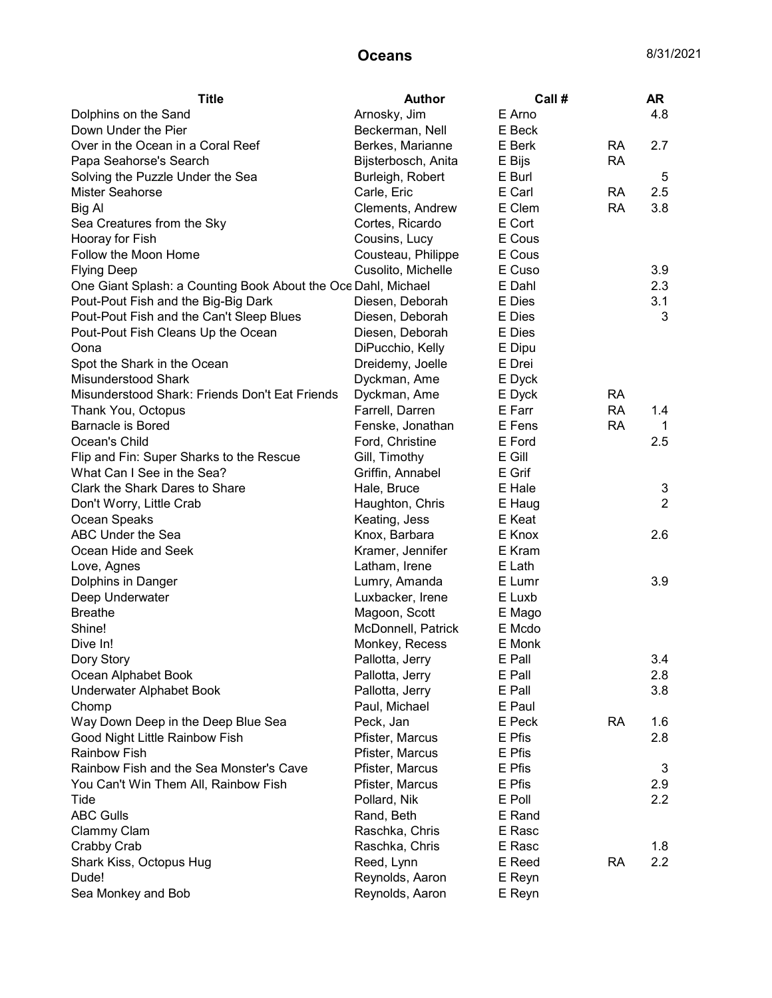| Arnosky, Jim<br>E Arno<br>4.8<br>Dolphins on the Sand<br>Down Under the Pier<br>E Beck<br>Beckerman, Nell<br>Over in the Ocean in a Coral Reef<br>Berkes, Marianne<br>E Berk<br><b>RA</b><br>2.7<br><b>RA</b><br>Papa Seahorse's Search<br>Bijsterbosch, Anita<br>E Bijs<br>Solving the Puzzle Under the Sea<br>Burleigh, Robert<br>E Burl<br>5<br>E Carl<br><b>Mister Seahorse</b><br><b>RA</b><br>2.5<br>Carle, Eric<br>E Clem<br><b>RA</b><br>3.8<br>Big Al<br>Clements, Andrew<br>E Cort<br>Sea Creatures from the Sky<br>Cortes, Ricardo<br>E Cous<br>Hooray for Fish<br>Cousins, Lucy<br>Follow the Moon Home<br>Cousteau, Philippe<br>E Cous<br>E Cuso<br>3.9<br><b>Flying Deep</b><br>Cusolito, Michelle<br>2.3<br>One Giant Splash: a Counting Book About the Oce Dahl, Michael<br>E Dahl<br>Pout-Pout Fish and the Big-Big Dark<br>E Dies<br>3.1<br>Diesen, Deborah<br>Pout-Pout Fish and the Can't Sleep Blues<br>E Dies<br>3<br>Diesen, Deborah<br>E Dies<br>Pout-Pout Fish Cleans Up the Ocean<br>Diesen, Deborah<br>E Dipu<br>DiPucchio, Kelly<br>Oona<br>E Drei<br>Spot the Shark in the Ocean<br>Dreidemy, Joelle<br>Misunderstood Shark<br>Dyckman, Ame<br>E Dyck<br>Misunderstood Shark: Friends Don't Eat Friends<br><b>RA</b><br>Dyckman, Ame<br>E Dyck<br>Farrell, Darren<br>E Farr<br><b>RA</b><br>Thank You, Octopus<br>1.4<br><b>Barnacle is Bored</b><br>Fenske, Jonathan<br>E Fens<br><b>RA</b><br>1<br>Ocean's Child<br>E Ford<br>2.5<br>Ford, Christine<br>Flip and Fin: Super Sharks to the Rescue<br>E Gill<br>Gill, Timothy<br>What Can I See in the Sea?<br>Griffin, Annabel<br>E Grif<br>Clark the Shark Dares to Share<br>Hale, Bruce<br>E Hale<br>3<br>$\overline{2}$<br>Don't Worry, Little Crab<br>Haughton, Chris<br>E Haug<br>Ocean Speaks<br>Keating, Jess<br>E Keat<br>ABC Under the Sea<br>E Knox<br>2.6<br>Knox, Barbara<br>Kramer, Jennifer<br>E Kram<br>Ocean Hide and Seek<br>Latham, Irene<br>E Lath<br>Love, Agnes<br>3.9<br>Lumry, Amanda<br>E Lumr<br>Dolphins in Danger<br>Luxbacker, Irene<br>E Luxb<br>Deep Underwater<br>Magoon, Scott<br><b>Breathe</b><br>E Mago<br>Shine!<br>McDonnell, Patrick<br>E Mcdo<br>Dive In!<br>Monkey, Recess<br>E Monk<br>Dory Story<br>Pallotta, Jerry<br>E Pall<br>3.4<br>Pallotta, Jerry<br>2.8<br>Ocean Alphabet Book<br>E Pall<br>Underwater Alphabet Book<br>Pallotta, Jerry<br>E Pall<br>3.8<br>Paul, Michael<br>E Paul<br>Chomp<br>Way Down Deep in the Deep Blue Sea<br>E Peck<br><b>RA</b><br>1.6<br>Peck, Jan<br>Good Night Little Rainbow Fish<br>E Pfis<br>2.8<br>Pfister, Marcus<br><b>Rainbow Fish</b><br>Pfister, Marcus<br>E Pfis<br>Rainbow Fish and the Sea Monster's Cave<br>Pfister, Marcus<br>E Pfis<br>3<br>You Can't Win Them All, Rainbow Fish<br>Pfister, Marcus<br>E Pfis<br>2.9<br>Pollard, Nik<br>E Poll<br>2.2<br>Tide<br><b>ABC Gulls</b><br>E Rand<br>Rand, Beth<br>Clammy Clam<br>Raschka, Chris<br>E Rasc<br>Crabby Crab<br>Raschka, Chris<br>E Rasc<br>1.8<br>Shark Kiss, Octopus Hug<br>Reed, Lynn<br>E Reed<br><b>RA</b><br>2.2<br>Dude!<br>Reynolds, Aaron<br>E Reyn | <b>Title</b>       | Author          | Call # | AR |
|------------------------------------------------------------------------------------------------------------------------------------------------------------------------------------------------------------------------------------------------------------------------------------------------------------------------------------------------------------------------------------------------------------------------------------------------------------------------------------------------------------------------------------------------------------------------------------------------------------------------------------------------------------------------------------------------------------------------------------------------------------------------------------------------------------------------------------------------------------------------------------------------------------------------------------------------------------------------------------------------------------------------------------------------------------------------------------------------------------------------------------------------------------------------------------------------------------------------------------------------------------------------------------------------------------------------------------------------------------------------------------------------------------------------------------------------------------------------------------------------------------------------------------------------------------------------------------------------------------------------------------------------------------------------------------------------------------------------------------------------------------------------------------------------------------------------------------------------------------------------------------------------------------------------------------------------------------------------------------------------------------------------------------------------------------------------------------------------------------------------------------------------------------------------------------------------------------------------------------------------------------------------------------------------------------------------------------------------------------------------------------------------------------------------------------------------------------------------------------------------------------------------------------------------------------------------------------------------------------------------------------------------------------------------------------------------------------------------------------------------------------------------------------------------------------------------------------------------------------------------------------------------------------------------------------------------------------------------------------------------------------------------------------------------------------------------------------------------|--------------------|-----------------|--------|----|
|                                                                                                                                                                                                                                                                                                                                                                                                                                                                                                                                                                                                                                                                                                                                                                                                                                                                                                                                                                                                                                                                                                                                                                                                                                                                                                                                                                                                                                                                                                                                                                                                                                                                                                                                                                                                                                                                                                                                                                                                                                                                                                                                                                                                                                                                                                                                                                                                                                                                                                                                                                                                                                                                                                                                                                                                                                                                                                                                                                                                                                                                                                |                    |                 |        |    |
|                                                                                                                                                                                                                                                                                                                                                                                                                                                                                                                                                                                                                                                                                                                                                                                                                                                                                                                                                                                                                                                                                                                                                                                                                                                                                                                                                                                                                                                                                                                                                                                                                                                                                                                                                                                                                                                                                                                                                                                                                                                                                                                                                                                                                                                                                                                                                                                                                                                                                                                                                                                                                                                                                                                                                                                                                                                                                                                                                                                                                                                                                                |                    |                 |        |    |
|                                                                                                                                                                                                                                                                                                                                                                                                                                                                                                                                                                                                                                                                                                                                                                                                                                                                                                                                                                                                                                                                                                                                                                                                                                                                                                                                                                                                                                                                                                                                                                                                                                                                                                                                                                                                                                                                                                                                                                                                                                                                                                                                                                                                                                                                                                                                                                                                                                                                                                                                                                                                                                                                                                                                                                                                                                                                                                                                                                                                                                                                                                |                    |                 |        |    |
|                                                                                                                                                                                                                                                                                                                                                                                                                                                                                                                                                                                                                                                                                                                                                                                                                                                                                                                                                                                                                                                                                                                                                                                                                                                                                                                                                                                                                                                                                                                                                                                                                                                                                                                                                                                                                                                                                                                                                                                                                                                                                                                                                                                                                                                                                                                                                                                                                                                                                                                                                                                                                                                                                                                                                                                                                                                                                                                                                                                                                                                                                                |                    |                 |        |    |
|                                                                                                                                                                                                                                                                                                                                                                                                                                                                                                                                                                                                                                                                                                                                                                                                                                                                                                                                                                                                                                                                                                                                                                                                                                                                                                                                                                                                                                                                                                                                                                                                                                                                                                                                                                                                                                                                                                                                                                                                                                                                                                                                                                                                                                                                                                                                                                                                                                                                                                                                                                                                                                                                                                                                                                                                                                                                                                                                                                                                                                                                                                |                    |                 |        |    |
|                                                                                                                                                                                                                                                                                                                                                                                                                                                                                                                                                                                                                                                                                                                                                                                                                                                                                                                                                                                                                                                                                                                                                                                                                                                                                                                                                                                                                                                                                                                                                                                                                                                                                                                                                                                                                                                                                                                                                                                                                                                                                                                                                                                                                                                                                                                                                                                                                                                                                                                                                                                                                                                                                                                                                                                                                                                                                                                                                                                                                                                                                                |                    |                 |        |    |
|                                                                                                                                                                                                                                                                                                                                                                                                                                                                                                                                                                                                                                                                                                                                                                                                                                                                                                                                                                                                                                                                                                                                                                                                                                                                                                                                                                                                                                                                                                                                                                                                                                                                                                                                                                                                                                                                                                                                                                                                                                                                                                                                                                                                                                                                                                                                                                                                                                                                                                                                                                                                                                                                                                                                                                                                                                                                                                                                                                                                                                                                                                |                    |                 |        |    |
|                                                                                                                                                                                                                                                                                                                                                                                                                                                                                                                                                                                                                                                                                                                                                                                                                                                                                                                                                                                                                                                                                                                                                                                                                                                                                                                                                                                                                                                                                                                                                                                                                                                                                                                                                                                                                                                                                                                                                                                                                                                                                                                                                                                                                                                                                                                                                                                                                                                                                                                                                                                                                                                                                                                                                                                                                                                                                                                                                                                                                                                                                                |                    |                 |        |    |
|                                                                                                                                                                                                                                                                                                                                                                                                                                                                                                                                                                                                                                                                                                                                                                                                                                                                                                                                                                                                                                                                                                                                                                                                                                                                                                                                                                                                                                                                                                                                                                                                                                                                                                                                                                                                                                                                                                                                                                                                                                                                                                                                                                                                                                                                                                                                                                                                                                                                                                                                                                                                                                                                                                                                                                                                                                                                                                                                                                                                                                                                                                |                    |                 |        |    |
|                                                                                                                                                                                                                                                                                                                                                                                                                                                                                                                                                                                                                                                                                                                                                                                                                                                                                                                                                                                                                                                                                                                                                                                                                                                                                                                                                                                                                                                                                                                                                                                                                                                                                                                                                                                                                                                                                                                                                                                                                                                                                                                                                                                                                                                                                                                                                                                                                                                                                                                                                                                                                                                                                                                                                                                                                                                                                                                                                                                                                                                                                                |                    |                 |        |    |
|                                                                                                                                                                                                                                                                                                                                                                                                                                                                                                                                                                                                                                                                                                                                                                                                                                                                                                                                                                                                                                                                                                                                                                                                                                                                                                                                                                                                                                                                                                                                                                                                                                                                                                                                                                                                                                                                                                                                                                                                                                                                                                                                                                                                                                                                                                                                                                                                                                                                                                                                                                                                                                                                                                                                                                                                                                                                                                                                                                                                                                                                                                |                    |                 |        |    |
|                                                                                                                                                                                                                                                                                                                                                                                                                                                                                                                                                                                                                                                                                                                                                                                                                                                                                                                                                                                                                                                                                                                                                                                                                                                                                                                                                                                                                                                                                                                                                                                                                                                                                                                                                                                                                                                                                                                                                                                                                                                                                                                                                                                                                                                                                                                                                                                                                                                                                                                                                                                                                                                                                                                                                                                                                                                                                                                                                                                                                                                                                                |                    |                 |        |    |
|                                                                                                                                                                                                                                                                                                                                                                                                                                                                                                                                                                                                                                                                                                                                                                                                                                                                                                                                                                                                                                                                                                                                                                                                                                                                                                                                                                                                                                                                                                                                                                                                                                                                                                                                                                                                                                                                                                                                                                                                                                                                                                                                                                                                                                                                                                                                                                                                                                                                                                                                                                                                                                                                                                                                                                                                                                                                                                                                                                                                                                                                                                |                    |                 |        |    |
|                                                                                                                                                                                                                                                                                                                                                                                                                                                                                                                                                                                                                                                                                                                                                                                                                                                                                                                                                                                                                                                                                                                                                                                                                                                                                                                                                                                                                                                                                                                                                                                                                                                                                                                                                                                                                                                                                                                                                                                                                                                                                                                                                                                                                                                                                                                                                                                                                                                                                                                                                                                                                                                                                                                                                                                                                                                                                                                                                                                                                                                                                                |                    |                 |        |    |
|                                                                                                                                                                                                                                                                                                                                                                                                                                                                                                                                                                                                                                                                                                                                                                                                                                                                                                                                                                                                                                                                                                                                                                                                                                                                                                                                                                                                                                                                                                                                                                                                                                                                                                                                                                                                                                                                                                                                                                                                                                                                                                                                                                                                                                                                                                                                                                                                                                                                                                                                                                                                                                                                                                                                                                                                                                                                                                                                                                                                                                                                                                |                    |                 |        |    |
|                                                                                                                                                                                                                                                                                                                                                                                                                                                                                                                                                                                                                                                                                                                                                                                                                                                                                                                                                                                                                                                                                                                                                                                                                                                                                                                                                                                                                                                                                                                                                                                                                                                                                                                                                                                                                                                                                                                                                                                                                                                                                                                                                                                                                                                                                                                                                                                                                                                                                                                                                                                                                                                                                                                                                                                                                                                                                                                                                                                                                                                                                                |                    |                 |        |    |
|                                                                                                                                                                                                                                                                                                                                                                                                                                                                                                                                                                                                                                                                                                                                                                                                                                                                                                                                                                                                                                                                                                                                                                                                                                                                                                                                                                                                                                                                                                                                                                                                                                                                                                                                                                                                                                                                                                                                                                                                                                                                                                                                                                                                                                                                                                                                                                                                                                                                                                                                                                                                                                                                                                                                                                                                                                                                                                                                                                                                                                                                                                |                    |                 |        |    |
|                                                                                                                                                                                                                                                                                                                                                                                                                                                                                                                                                                                                                                                                                                                                                                                                                                                                                                                                                                                                                                                                                                                                                                                                                                                                                                                                                                                                                                                                                                                                                                                                                                                                                                                                                                                                                                                                                                                                                                                                                                                                                                                                                                                                                                                                                                                                                                                                                                                                                                                                                                                                                                                                                                                                                                                                                                                                                                                                                                                                                                                                                                |                    |                 |        |    |
|                                                                                                                                                                                                                                                                                                                                                                                                                                                                                                                                                                                                                                                                                                                                                                                                                                                                                                                                                                                                                                                                                                                                                                                                                                                                                                                                                                                                                                                                                                                                                                                                                                                                                                                                                                                                                                                                                                                                                                                                                                                                                                                                                                                                                                                                                                                                                                                                                                                                                                                                                                                                                                                                                                                                                                                                                                                                                                                                                                                                                                                                                                |                    |                 |        |    |
|                                                                                                                                                                                                                                                                                                                                                                                                                                                                                                                                                                                                                                                                                                                                                                                                                                                                                                                                                                                                                                                                                                                                                                                                                                                                                                                                                                                                                                                                                                                                                                                                                                                                                                                                                                                                                                                                                                                                                                                                                                                                                                                                                                                                                                                                                                                                                                                                                                                                                                                                                                                                                                                                                                                                                                                                                                                                                                                                                                                                                                                                                                |                    |                 |        |    |
|                                                                                                                                                                                                                                                                                                                                                                                                                                                                                                                                                                                                                                                                                                                                                                                                                                                                                                                                                                                                                                                                                                                                                                                                                                                                                                                                                                                                                                                                                                                                                                                                                                                                                                                                                                                                                                                                                                                                                                                                                                                                                                                                                                                                                                                                                                                                                                                                                                                                                                                                                                                                                                                                                                                                                                                                                                                                                                                                                                                                                                                                                                |                    |                 |        |    |
|                                                                                                                                                                                                                                                                                                                                                                                                                                                                                                                                                                                                                                                                                                                                                                                                                                                                                                                                                                                                                                                                                                                                                                                                                                                                                                                                                                                                                                                                                                                                                                                                                                                                                                                                                                                                                                                                                                                                                                                                                                                                                                                                                                                                                                                                                                                                                                                                                                                                                                                                                                                                                                                                                                                                                                                                                                                                                                                                                                                                                                                                                                |                    |                 |        |    |
|                                                                                                                                                                                                                                                                                                                                                                                                                                                                                                                                                                                                                                                                                                                                                                                                                                                                                                                                                                                                                                                                                                                                                                                                                                                                                                                                                                                                                                                                                                                                                                                                                                                                                                                                                                                                                                                                                                                                                                                                                                                                                                                                                                                                                                                                                                                                                                                                                                                                                                                                                                                                                                                                                                                                                                                                                                                                                                                                                                                                                                                                                                |                    |                 |        |    |
|                                                                                                                                                                                                                                                                                                                                                                                                                                                                                                                                                                                                                                                                                                                                                                                                                                                                                                                                                                                                                                                                                                                                                                                                                                                                                                                                                                                                                                                                                                                                                                                                                                                                                                                                                                                                                                                                                                                                                                                                                                                                                                                                                                                                                                                                                                                                                                                                                                                                                                                                                                                                                                                                                                                                                                                                                                                                                                                                                                                                                                                                                                |                    |                 |        |    |
|                                                                                                                                                                                                                                                                                                                                                                                                                                                                                                                                                                                                                                                                                                                                                                                                                                                                                                                                                                                                                                                                                                                                                                                                                                                                                                                                                                                                                                                                                                                                                                                                                                                                                                                                                                                                                                                                                                                                                                                                                                                                                                                                                                                                                                                                                                                                                                                                                                                                                                                                                                                                                                                                                                                                                                                                                                                                                                                                                                                                                                                                                                |                    |                 |        |    |
|                                                                                                                                                                                                                                                                                                                                                                                                                                                                                                                                                                                                                                                                                                                                                                                                                                                                                                                                                                                                                                                                                                                                                                                                                                                                                                                                                                                                                                                                                                                                                                                                                                                                                                                                                                                                                                                                                                                                                                                                                                                                                                                                                                                                                                                                                                                                                                                                                                                                                                                                                                                                                                                                                                                                                                                                                                                                                                                                                                                                                                                                                                |                    |                 |        |    |
|                                                                                                                                                                                                                                                                                                                                                                                                                                                                                                                                                                                                                                                                                                                                                                                                                                                                                                                                                                                                                                                                                                                                                                                                                                                                                                                                                                                                                                                                                                                                                                                                                                                                                                                                                                                                                                                                                                                                                                                                                                                                                                                                                                                                                                                                                                                                                                                                                                                                                                                                                                                                                                                                                                                                                                                                                                                                                                                                                                                                                                                                                                |                    |                 |        |    |
|                                                                                                                                                                                                                                                                                                                                                                                                                                                                                                                                                                                                                                                                                                                                                                                                                                                                                                                                                                                                                                                                                                                                                                                                                                                                                                                                                                                                                                                                                                                                                                                                                                                                                                                                                                                                                                                                                                                                                                                                                                                                                                                                                                                                                                                                                                                                                                                                                                                                                                                                                                                                                                                                                                                                                                                                                                                                                                                                                                                                                                                                                                |                    |                 |        |    |
|                                                                                                                                                                                                                                                                                                                                                                                                                                                                                                                                                                                                                                                                                                                                                                                                                                                                                                                                                                                                                                                                                                                                                                                                                                                                                                                                                                                                                                                                                                                                                                                                                                                                                                                                                                                                                                                                                                                                                                                                                                                                                                                                                                                                                                                                                                                                                                                                                                                                                                                                                                                                                                                                                                                                                                                                                                                                                                                                                                                                                                                                                                |                    |                 |        |    |
|                                                                                                                                                                                                                                                                                                                                                                                                                                                                                                                                                                                                                                                                                                                                                                                                                                                                                                                                                                                                                                                                                                                                                                                                                                                                                                                                                                                                                                                                                                                                                                                                                                                                                                                                                                                                                                                                                                                                                                                                                                                                                                                                                                                                                                                                                                                                                                                                                                                                                                                                                                                                                                                                                                                                                                                                                                                                                                                                                                                                                                                                                                |                    |                 |        |    |
|                                                                                                                                                                                                                                                                                                                                                                                                                                                                                                                                                                                                                                                                                                                                                                                                                                                                                                                                                                                                                                                                                                                                                                                                                                                                                                                                                                                                                                                                                                                                                                                                                                                                                                                                                                                                                                                                                                                                                                                                                                                                                                                                                                                                                                                                                                                                                                                                                                                                                                                                                                                                                                                                                                                                                                                                                                                                                                                                                                                                                                                                                                |                    |                 |        |    |
|                                                                                                                                                                                                                                                                                                                                                                                                                                                                                                                                                                                                                                                                                                                                                                                                                                                                                                                                                                                                                                                                                                                                                                                                                                                                                                                                                                                                                                                                                                                                                                                                                                                                                                                                                                                                                                                                                                                                                                                                                                                                                                                                                                                                                                                                                                                                                                                                                                                                                                                                                                                                                                                                                                                                                                                                                                                                                                                                                                                                                                                                                                |                    |                 |        |    |
|                                                                                                                                                                                                                                                                                                                                                                                                                                                                                                                                                                                                                                                                                                                                                                                                                                                                                                                                                                                                                                                                                                                                                                                                                                                                                                                                                                                                                                                                                                                                                                                                                                                                                                                                                                                                                                                                                                                                                                                                                                                                                                                                                                                                                                                                                                                                                                                                                                                                                                                                                                                                                                                                                                                                                                                                                                                                                                                                                                                                                                                                                                |                    |                 |        |    |
|                                                                                                                                                                                                                                                                                                                                                                                                                                                                                                                                                                                                                                                                                                                                                                                                                                                                                                                                                                                                                                                                                                                                                                                                                                                                                                                                                                                                                                                                                                                                                                                                                                                                                                                                                                                                                                                                                                                                                                                                                                                                                                                                                                                                                                                                                                                                                                                                                                                                                                                                                                                                                                                                                                                                                                                                                                                                                                                                                                                                                                                                                                |                    |                 |        |    |
|                                                                                                                                                                                                                                                                                                                                                                                                                                                                                                                                                                                                                                                                                                                                                                                                                                                                                                                                                                                                                                                                                                                                                                                                                                                                                                                                                                                                                                                                                                                                                                                                                                                                                                                                                                                                                                                                                                                                                                                                                                                                                                                                                                                                                                                                                                                                                                                                                                                                                                                                                                                                                                                                                                                                                                                                                                                                                                                                                                                                                                                                                                |                    |                 |        |    |
|                                                                                                                                                                                                                                                                                                                                                                                                                                                                                                                                                                                                                                                                                                                                                                                                                                                                                                                                                                                                                                                                                                                                                                                                                                                                                                                                                                                                                                                                                                                                                                                                                                                                                                                                                                                                                                                                                                                                                                                                                                                                                                                                                                                                                                                                                                                                                                                                                                                                                                                                                                                                                                                                                                                                                                                                                                                                                                                                                                                                                                                                                                |                    |                 |        |    |
|                                                                                                                                                                                                                                                                                                                                                                                                                                                                                                                                                                                                                                                                                                                                                                                                                                                                                                                                                                                                                                                                                                                                                                                                                                                                                                                                                                                                                                                                                                                                                                                                                                                                                                                                                                                                                                                                                                                                                                                                                                                                                                                                                                                                                                                                                                                                                                                                                                                                                                                                                                                                                                                                                                                                                                                                                                                                                                                                                                                                                                                                                                |                    |                 |        |    |
|                                                                                                                                                                                                                                                                                                                                                                                                                                                                                                                                                                                                                                                                                                                                                                                                                                                                                                                                                                                                                                                                                                                                                                                                                                                                                                                                                                                                                                                                                                                                                                                                                                                                                                                                                                                                                                                                                                                                                                                                                                                                                                                                                                                                                                                                                                                                                                                                                                                                                                                                                                                                                                                                                                                                                                                                                                                                                                                                                                                                                                                                                                |                    |                 |        |    |
|                                                                                                                                                                                                                                                                                                                                                                                                                                                                                                                                                                                                                                                                                                                                                                                                                                                                                                                                                                                                                                                                                                                                                                                                                                                                                                                                                                                                                                                                                                                                                                                                                                                                                                                                                                                                                                                                                                                                                                                                                                                                                                                                                                                                                                                                                                                                                                                                                                                                                                                                                                                                                                                                                                                                                                                                                                                                                                                                                                                                                                                                                                |                    |                 |        |    |
|                                                                                                                                                                                                                                                                                                                                                                                                                                                                                                                                                                                                                                                                                                                                                                                                                                                                                                                                                                                                                                                                                                                                                                                                                                                                                                                                                                                                                                                                                                                                                                                                                                                                                                                                                                                                                                                                                                                                                                                                                                                                                                                                                                                                                                                                                                                                                                                                                                                                                                                                                                                                                                                                                                                                                                                                                                                                                                                                                                                                                                                                                                |                    |                 |        |    |
|                                                                                                                                                                                                                                                                                                                                                                                                                                                                                                                                                                                                                                                                                                                                                                                                                                                                                                                                                                                                                                                                                                                                                                                                                                                                                                                                                                                                                                                                                                                                                                                                                                                                                                                                                                                                                                                                                                                                                                                                                                                                                                                                                                                                                                                                                                                                                                                                                                                                                                                                                                                                                                                                                                                                                                                                                                                                                                                                                                                                                                                                                                |                    |                 |        |    |
|                                                                                                                                                                                                                                                                                                                                                                                                                                                                                                                                                                                                                                                                                                                                                                                                                                                                                                                                                                                                                                                                                                                                                                                                                                                                                                                                                                                                                                                                                                                                                                                                                                                                                                                                                                                                                                                                                                                                                                                                                                                                                                                                                                                                                                                                                                                                                                                                                                                                                                                                                                                                                                                                                                                                                                                                                                                                                                                                                                                                                                                                                                |                    |                 |        |    |
|                                                                                                                                                                                                                                                                                                                                                                                                                                                                                                                                                                                                                                                                                                                                                                                                                                                                                                                                                                                                                                                                                                                                                                                                                                                                                                                                                                                                                                                                                                                                                                                                                                                                                                                                                                                                                                                                                                                                                                                                                                                                                                                                                                                                                                                                                                                                                                                                                                                                                                                                                                                                                                                                                                                                                                                                                                                                                                                                                                                                                                                                                                |                    |                 |        |    |
|                                                                                                                                                                                                                                                                                                                                                                                                                                                                                                                                                                                                                                                                                                                                                                                                                                                                                                                                                                                                                                                                                                                                                                                                                                                                                                                                                                                                                                                                                                                                                                                                                                                                                                                                                                                                                                                                                                                                                                                                                                                                                                                                                                                                                                                                                                                                                                                                                                                                                                                                                                                                                                                                                                                                                                                                                                                                                                                                                                                                                                                                                                |                    |                 |        |    |
|                                                                                                                                                                                                                                                                                                                                                                                                                                                                                                                                                                                                                                                                                                                                                                                                                                                                                                                                                                                                                                                                                                                                                                                                                                                                                                                                                                                                                                                                                                                                                                                                                                                                                                                                                                                                                                                                                                                                                                                                                                                                                                                                                                                                                                                                                                                                                                                                                                                                                                                                                                                                                                                                                                                                                                                                                                                                                                                                                                                                                                                                                                |                    |                 |        |    |
|                                                                                                                                                                                                                                                                                                                                                                                                                                                                                                                                                                                                                                                                                                                                                                                                                                                                                                                                                                                                                                                                                                                                                                                                                                                                                                                                                                                                                                                                                                                                                                                                                                                                                                                                                                                                                                                                                                                                                                                                                                                                                                                                                                                                                                                                                                                                                                                                                                                                                                                                                                                                                                                                                                                                                                                                                                                                                                                                                                                                                                                                                                |                    |                 |        |    |
|                                                                                                                                                                                                                                                                                                                                                                                                                                                                                                                                                                                                                                                                                                                                                                                                                                                                                                                                                                                                                                                                                                                                                                                                                                                                                                                                                                                                                                                                                                                                                                                                                                                                                                                                                                                                                                                                                                                                                                                                                                                                                                                                                                                                                                                                                                                                                                                                                                                                                                                                                                                                                                                                                                                                                                                                                                                                                                                                                                                                                                                                                                |                    |                 |        |    |
|                                                                                                                                                                                                                                                                                                                                                                                                                                                                                                                                                                                                                                                                                                                                                                                                                                                                                                                                                                                                                                                                                                                                                                                                                                                                                                                                                                                                                                                                                                                                                                                                                                                                                                                                                                                                                                                                                                                                                                                                                                                                                                                                                                                                                                                                                                                                                                                                                                                                                                                                                                                                                                                                                                                                                                                                                                                                                                                                                                                                                                                                                                |                    |                 |        |    |
|                                                                                                                                                                                                                                                                                                                                                                                                                                                                                                                                                                                                                                                                                                                                                                                                                                                                                                                                                                                                                                                                                                                                                                                                                                                                                                                                                                                                                                                                                                                                                                                                                                                                                                                                                                                                                                                                                                                                                                                                                                                                                                                                                                                                                                                                                                                                                                                                                                                                                                                                                                                                                                                                                                                                                                                                                                                                                                                                                                                                                                                                                                |                    |                 |        |    |
|                                                                                                                                                                                                                                                                                                                                                                                                                                                                                                                                                                                                                                                                                                                                                                                                                                                                                                                                                                                                                                                                                                                                                                                                                                                                                                                                                                                                                                                                                                                                                                                                                                                                                                                                                                                                                                                                                                                                                                                                                                                                                                                                                                                                                                                                                                                                                                                                                                                                                                                                                                                                                                                                                                                                                                                                                                                                                                                                                                                                                                                                                                |                    |                 |        |    |
|                                                                                                                                                                                                                                                                                                                                                                                                                                                                                                                                                                                                                                                                                                                                                                                                                                                                                                                                                                                                                                                                                                                                                                                                                                                                                                                                                                                                                                                                                                                                                                                                                                                                                                                                                                                                                                                                                                                                                                                                                                                                                                                                                                                                                                                                                                                                                                                                                                                                                                                                                                                                                                                                                                                                                                                                                                                                                                                                                                                                                                                                                                | Sea Monkey and Bob | Reynolds, Aaron | E Reyn |    |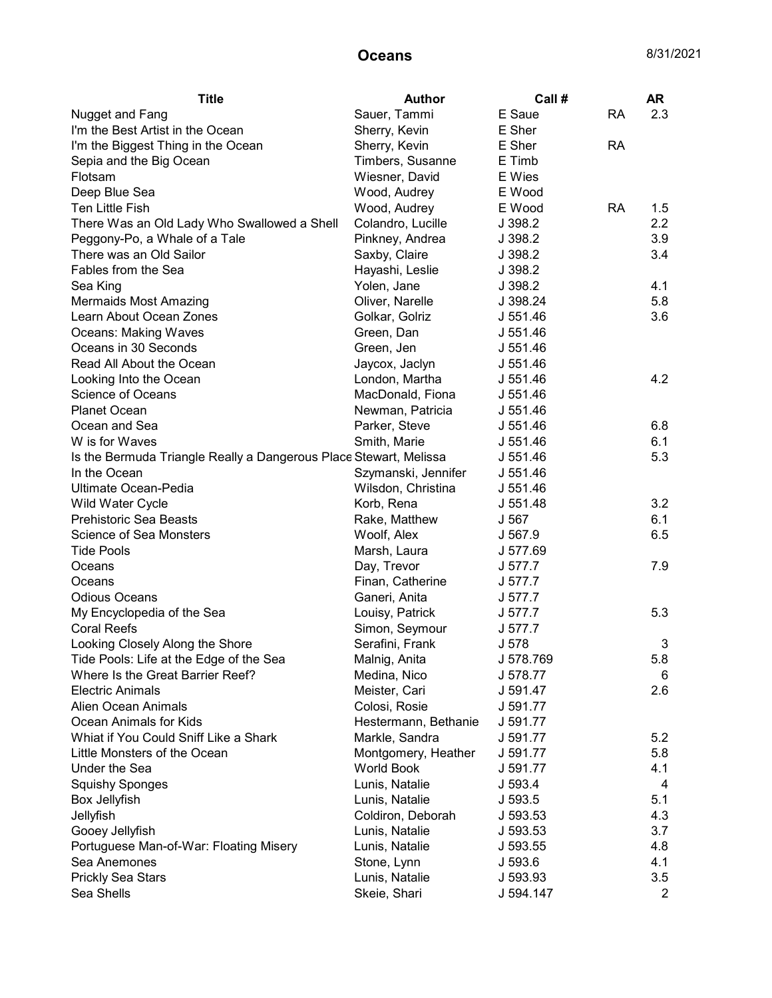| <b>Title</b>                                                      | <b>Author</b>        | Call#     |           | <b>AR</b>      |
|-------------------------------------------------------------------|----------------------|-----------|-----------|----------------|
| Nugget and Fang                                                   | Sauer, Tammi         | E Saue    | <b>RA</b> | 2.3            |
| I'm the Best Artist in the Ocean                                  | Sherry, Kevin        | E Sher    |           |                |
| I'm the Biggest Thing in the Ocean                                | Sherry, Kevin        | E Sher    | <b>RA</b> |                |
| Sepia and the Big Ocean                                           | Timbers, Susanne     | E Timb    |           |                |
| Flotsam                                                           | Wiesner, David       | E Wies    |           |                |
| Deep Blue Sea                                                     | Wood, Audrey         | E Wood    |           |                |
| Ten Little Fish                                                   | Wood, Audrey         | E Wood    | <b>RA</b> | 1.5            |
| There Was an Old Lady Who Swallowed a Shell                       | Colandro, Lucille    | J 398.2   |           | 2.2            |
| Peggony-Po, a Whale of a Tale                                     | Pinkney, Andrea      | J 398.2   |           | 3.9            |
| There was an Old Sailor                                           | Saxby, Claire        | J 398.2   |           | 3.4            |
| Fables from the Sea                                               | Hayashi, Leslie      | J 398.2   |           |                |
| Sea King                                                          | Yolen, Jane          | J 398.2   |           | 4.1            |
| <b>Mermaids Most Amazing</b>                                      | Oliver, Narelle      | J 398.24  |           | 5.8            |
| Learn About Ocean Zones                                           | Golkar, Golriz       | J 551.46  |           | 3.6            |
| Oceans: Making Waves                                              | Green, Dan           | J 551.46  |           |                |
| Oceans in 30 Seconds                                              | Green, Jen           | J 551.46  |           |                |
| Read All About the Ocean                                          | Jaycox, Jaclyn       | J 551.46  |           |                |
| Looking Into the Ocean                                            | London, Martha       | J 551.46  |           | 4.2            |
| Science of Oceans                                                 | MacDonald, Fiona     | J 551.46  |           |                |
| <b>Planet Ocean</b>                                               | Newman, Patricia     | J 551.46  |           |                |
| Ocean and Sea                                                     | Parker, Steve        | J 551.46  |           | 6.8            |
| W is for Waves                                                    | Smith, Marie         | J 551.46  |           | 6.1            |
| Is the Bermuda Triangle Really a Dangerous Place Stewart, Melissa |                      | J 551.46  |           | 5.3            |
| In the Ocean                                                      | Szymanski, Jennifer  | J 551.46  |           |                |
| Ultimate Ocean-Pedia                                              | Wilsdon, Christina   | J 551.46  |           |                |
| Wild Water Cycle                                                  | Korb, Rena           | J 551.48  |           | 3.2            |
| <b>Prehistoric Sea Beasts</b>                                     | Rake, Matthew        | J 567     |           | 6.1            |
| Science of Sea Monsters                                           | Woolf, Alex          | J 567.9   |           | 6.5            |
| <b>Tide Pools</b>                                                 | Marsh, Laura         | J 577.69  |           |                |
| Oceans                                                            | Day, Trevor          | J 577.7   |           | 7.9            |
| Oceans                                                            | Finan, Catherine     | J 577.7   |           |                |
| <b>Odious Oceans</b>                                              | Ganeri, Anita        | J 577.7   |           |                |
| My Encyclopedia of the Sea                                        | Louisy, Patrick      | J 577.7   |           | 5.3            |
| <b>Coral Reefs</b>                                                | Simon, Seymour       | J 577.7   |           |                |
| Looking Closely Along the Shore                                   | Serafini, Frank      | J 578     |           | 3              |
| Tide Pools: Life at the Edge of the Sea                           | Malnig, Anita        | J 578.769 |           | 5.8            |
| Where Is the Great Barrier Reef?                                  | Medina, Nico         | J 578.77  |           | 6              |
| <b>Electric Animals</b>                                           | Meister, Cari        | J 591.47  |           | 2.6            |
| Alien Ocean Animals                                               | Colosi, Rosie        | J 591.77  |           |                |
| Ocean Animals for Kids                                            | Hestermann, Bethanie | J 591.77  |           |                |
| Whiat if You Could Sniff Like a Shark                             | Markle, Sandra       | J 591.77  |           | 5.2            |
| Little Monsters of the Ocean                                      | Montgomery, Heather  | J 591.77  |           | 5.8            |
| Under the Sea                                                     | <b>World Book</b>    | J 591.77  |           | 4.1            |
| <b>Squishy Sponges</b>                                            | Lunis, Natalie       | J 593.4   |           | 4              |
| Box Jellyfish                                                     | Lunis, Natalie       | J 593.5   |           | 5.1            |
| Jellyfish                                                         | Coldiron, Deborah    | J 593.53  |           | 4.3            |
| Gooey Jellyfish                                                   | Lunis, Natalie       | J 593.53  |           | 3.7            |
| Portuguese Man-of-War: Floating Misery                            | Lunis, Natalie       | J 593.55  |           | 4.8            |
| Sea Anemones                                                      | Stone, Lynn          | J 593.6   |           | 4.1            |
| <b>Prickly Sea Stars</b>                                          | Lunis, Natalie       | J 593.93  |           | 3.5            |
| Sea Shells                                                        | Skeie, Shari         | J 594.147 |           | $\overline{2}$ |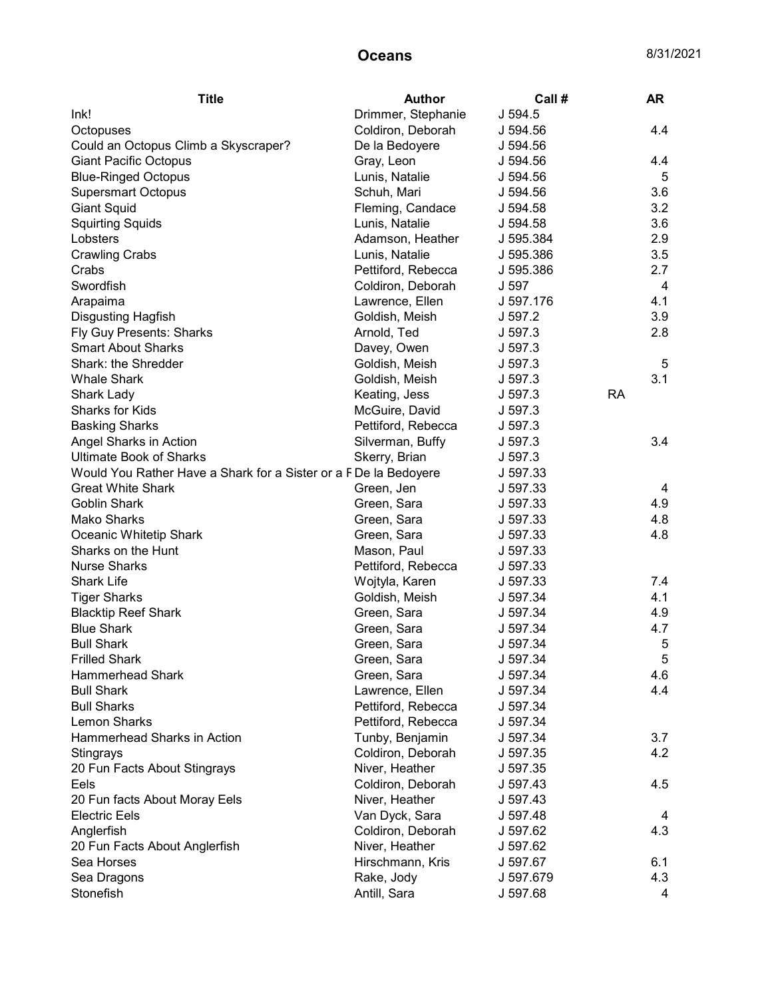| <b>Title</b>                                                    | <b>Author</b>      | Call#     |    | AR         |
|-----------------------------------------------------------------|--------------------|-----------|----|------------|
| Ink!                                                            | Drimmer, Stephanie | J 594.5   |    |            |
| Octopuses                                                       | Coldiron, Deborah  | J 594.56  |    | 4.4        |
| Could an Octopus Climb a Skyscraper?                            | De la Bedoyere     | J 594.56  |    |            |
| <b>Giant Pacific Octopus</b>                                    | Gray, Leon         | J 594.56  |    | 4.4        |
| <b>Blue-Ringed Octopus</b>                                      | Lunis, Natalie     | J 594.56  |    | 5          |
| <b>Supersmart Octopus</b>                                       | Schuh, Mari        | J 594.56  |    | 3.6        |
| <b>Giant Squid</b>                                              | Fleming, Candace   | J 594.58  |    | 3.2        |
| <b>Squirting Squids</b>                                         | Lunis, Natalie     | J 594.58  |    | 3.6        |
| Lobsters                                                        | Adamson, Heather   | J 595.384 |    | 2.9        |
| <b>Crawling Crabs</b>                                           | Lunis, Natalie     | J 595.386 |    | $3.5\,$    |
| Crabs                                                           | Pettiford, Rebecca | J 595.386 |    | 2.7        |
| Swordfish                                                       | Coldiron, Deborah  | J 597     |    | 4          |
| Arapaima                                                        | Lawrence, Ellen    | J 597.176 |    | 4.1        |
| <b>Disgusting Hagfish</b>                                       | Goldish, Meish     | J 597.2   |    | 3.9        |
| Fly Guy Presents: Sharks                                        | Arnold, Ted        | J 597.3   |    | 2.8        |
| <b>Smart About Sharks</b>                                       | Davey, Owen        | J 597.3   |    |            |
| Shark: the Shredder                                             | Goldish, Meish     | J 597.3   |    | 5          |
| <b>Whale Shark</b>                                              | Goldish, Meish     | J 597.3   |    | 3.1        |
| Shark Lady                                                      | Keating, Jess      | J 597.3   | RA |            |
| Sharks for Kids                                                 | McGuire, David     | J.597.3   |    |            |
| <b>Basking Sharks</b>                                           | Pettiford, Rebecca | J 597.3   |    |            |
| Angel Sharks in Action                                          | Silverman, Buffy   | J 597.3   |    | 3.4        |
| <b>Ultimate Book of Sharks</b>                                  | Skerry, Brian      | J 597.3   |    |            |
| Would You Rather Have a Shark for a Sister or a FDe la Bedoyere |                    | J 597.33  |    |            |
| <b>Great White Shark</b>                                        | Green, Jen         | J 597.33  |    | 4          |
| <b>Goblin Shark</b>                                             | Green, Sara        | J 597.33  |    | 4.9        |
| <b>Mako Sharks</b>                                              | Green, Sara        | J 597.33  |    | 4.8        |
| Oceanic Whitetip Shark                                          | Green, Sara        | J 597.33  |    | 4.8        |
| Sharks on the Hunt                                              | Mason, Paul        | J 597.33  |    |            |
| <b>Nurse Sharks</b>                                             | Pettiford, Rebecca | J 597.33  |    |            |
| <b>Shark Life</b>                                               | Wojtyla, Karen     | J 597.33  |    | 7.4        |
| <b>Tiger Sharks</b>                                             | Goldish, Meish     | J 597.34  |    | 4.1        |
| <b>Blacktip Reef Shark</b>                                      | Green, Sara        | J 597.34  |    | 4.9        |
| <b>Blue Shark</b>                                               | Green, Sara        | J 597.34  |    | 4.7        |
| <b>Bull Shark</b>                                               | Green, Sara        | J 597.34  |    | 5          |
| <b>Frilled Shark</b>                                            | Green, Sara        | J 597.34  |    | $\sqrt{5}$ |
| <b>Hammerhead Shark</b>                                         | Green, Sara        | J 597.34  |    | 4.6        |
| <b>Bull Shark</b>                                               | Lawrence, Ellen    | J 597.34  |    | 4.4        |
| <b>Bull Sharks</b>                                              | Pettiford, Rebecca | J 597.34  |    |            |
| <b>Lemon Sharks</b>                                             | Pettiford, Rebecca | J 597.34  |    |            |
| Hammerhead Sharks in Action                                     | Tunby, Benjamin    | J 597.34  |    | 3.7        |
| Stingrays                                                       | Coldiron, Deborah  | J 597.35  |    | 4.2        |
| 20 Fun Facts About Stingrays                                    | Niver, Heather     | J 597.35  |    |            |
| Eels                                                            | Coldiron, Deborah  | J 597.43  |    | 4.5        |
| 20 Fun facts About Moray Eels                                   | Niver, Heather     | J 597.43  |    |            |
| <b>Electric Eels</b>                                            | Van Dyck, Sara     | J 597.48  |    | 4          |
| Anglerfish                                                      | Coldiron, Deborah  | J 597.62  |    | 4.3        |
| 20 Fun Facts About Anglerfish                                   | Niver, Heather     | J 597.62  |    |            |
| Sea Horses                                                      | Hirschmann, Kris   | J 597.67  |    | 6.1        |
| Sea Dragons                                                     | Rake, Jody         | J 597.679 |    | 4.3        |
| Stonefish                                                       | Antill, Sara       | J 597.68  |    | 4          |
|                                                                 |                    |           |    |            |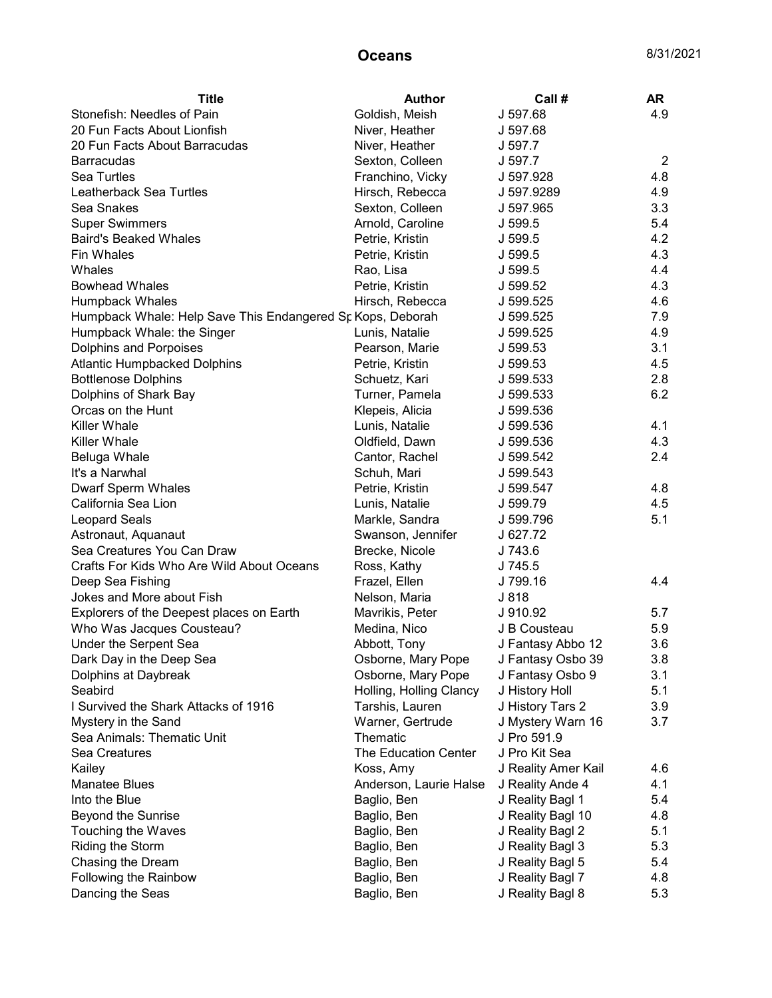| <b>Title</b>                                               | <b>Author</b>           | Call#               | <b>AR</b>      |
|------------------------------------------------------------|-------------------------|---------------------|----------------|
| Stonefish: Needles of Pain                                 | Goldish, Meish          | J 597.68            | 4.9            |
| 20 Fun Facts About Lionfish                                | Niver, Heather          | J 597.68            |                |
| 20 Fun Facts About Barracudas                              | Niver, Heather          | J 597.7             |                |
| <b>Barracudas</b>                                          | Sexton, Colleen         | J 597.7             | $\overline{2}$ |
| Sea Turtles                                                | Franchino, Vicky        | J 597.928           | 4.8            |
| Leatherback Sea Turtles                                    | Hirsch, Rebecca         | J 597.9289          | 4.9            |
| Sea Snakes                                                 | Sexton, Colleen         | J 597.965           | 3.3            |
| <b>Super Swimmers</b>                                      | Arnold, Caroline        | J 599.5             | 5.4            |
| <b>Baird's Beaked Whales</b>                               | Petrie, Kristin         | J 599.5             | 4.2            |
| Fin Whales                                                 | Petrie, Kristin         | J 599.5             | 4.3            |
| Whales                                                     | Rao, Lisa               | J 599.5             | 4.4            |
| <b>Bowhead Whales</b>                                      | Petrie, Kristin         | J 599.52            | 4.3            |
| Humpback Whales                                            | Hirsch, Rebecca         | J 599.525           | 4.6            |
| Humpback Whale: Help Save This Endangered Sp Kops, Deborah |                         | J 599.525           | 7.9            |
| Humpback Whale: the Singer                                 | Lunis, Natalie          | J 599.525           | 4.9            |
| Dolphins and Porpoises                                     | Pearson, Marie          | J 599.53            | 3.1            |
| <b>Atlantic Humpbacked Dolphins</b>                        | Petrie, Kristin         | J 599.53            | 4.5            |
| <b>Bottlenose Dolphins</b>                                 | Schuetz, Kari           | J 599.533           | 2.8            |
| Dolphins of Shark Bay                                      | Turner, Pamela          | J 599.533           | 6.2            |
| Orcas on the Hunt                                          | Klepeis, Alicia         | J 599.536           |                |
| <b>Killer Whale</b>                                        | Lunis, Natalie          | J 599.536           | 4.1            |
| <b>Killer Whale</b>                                        | Oldfield, Dawn          | J 599.536           | 4.3            |
| Beluga Whale                                               | Cantor, Rachel          | J 599.542           | 2.4            |
| It's a Narwhal                                             | Schuh, Mari             | J 599.543           |                |
| <b>Dwarf Sperm Whales</b>                                  | Petrie, Kristin         | J 599.547           | 4.8            |
| California Sea Lion                                        | Lunis, Natalie          | J 599.79            | 4.5            |
| Leopard Seals                                              | Markle, Sandra          | J 599.796           | 5.1            |
| Astronaut, Aquanaut                                        | Swanson, Jennifer       | J 627.72            |                |
| Sea Creatures You Can Draw                                 | Brecke, Nicole          | J 743.6             |                |
| Crafts For Kids Who Are Wild About Oceans                  | Ross, Kathy             | J 745.5             |                |
| Deep Sea Fishing                                           | Frazel, Ellen           | J 799.16            | 4.4            |
| Jokes and More about Fish                                  | Nelson, Maria           | J 818               |                |
| Explorers of the Deepest places on Earth                   | Mavrikis, Peter         | J 910.92            | 5.7            |
| Who Was Jacques Cousteau?                                  | Medina, Nico            | J B Cousteau        | 5.9            |
| Under the Serpent Sea                                      | Abbott, Tony            | J Fantasy Abbo 12   | 3.6            |
| Dark Day in the Deep Sea                                   | Osborne, Mary Pope      | J Fantasy Osbo 39   | 3.8            |
| Dolphins at Daybreak                                       | Osborne, Mary Pope      | J Fantasy Osbo 9    | 3.1            |
| Seabird                                                    | Holling, Holling Clancy | J History Holl      | 5.1            |
| I Survived the Shark Attacks of 1916                       | Tarshis, Lauren         | J History Tars 2    | 3.9            |
| Mystery in the Sand                                        | Warner, Gertrude        | J Mystery Warn 16   | 3.7            |
| Sea Animals: Thematic Unit                                 | Thematic                | J Pro 591.9         |                |
| Sea Creatures                                              | The Education Center    | J Pro Kit Sea       |                |
| Kailey                                                     | Koss, Amy               | J Reality Amer Kail | 4.6            |
| <b>Manatee Blues</b>                                       | Anderson, Laurie Halse  | J Reality Ande 4    | 4.1            |
| Into the Blue                                              | Baglio, Ben             | J Reality Bagl 1    | 5.4            |
| Beyond the Sunrise                                         | Baglio, Ben             | J Reality Bagl 10   | 4.8            |
| Touching the Waves                                         | Baglio, Ben             | J Reality Bagl 2    | 5.1            |
| Riding the Storm                                           | Baglio, Ben             | J Reality Bagl 3    | 5.3            |
| Chasing the Dream                                          | Baglio, Ben             | J Reality Bagl 5    | 5.4            |
| Following the Rainbow                                      | Baglio, Ben             | J Reality Bagl 7    | 4.8            |
| Dancing the Seas                                           | Baglio, Ben             | J Reality Bagl 8    | 5.3            |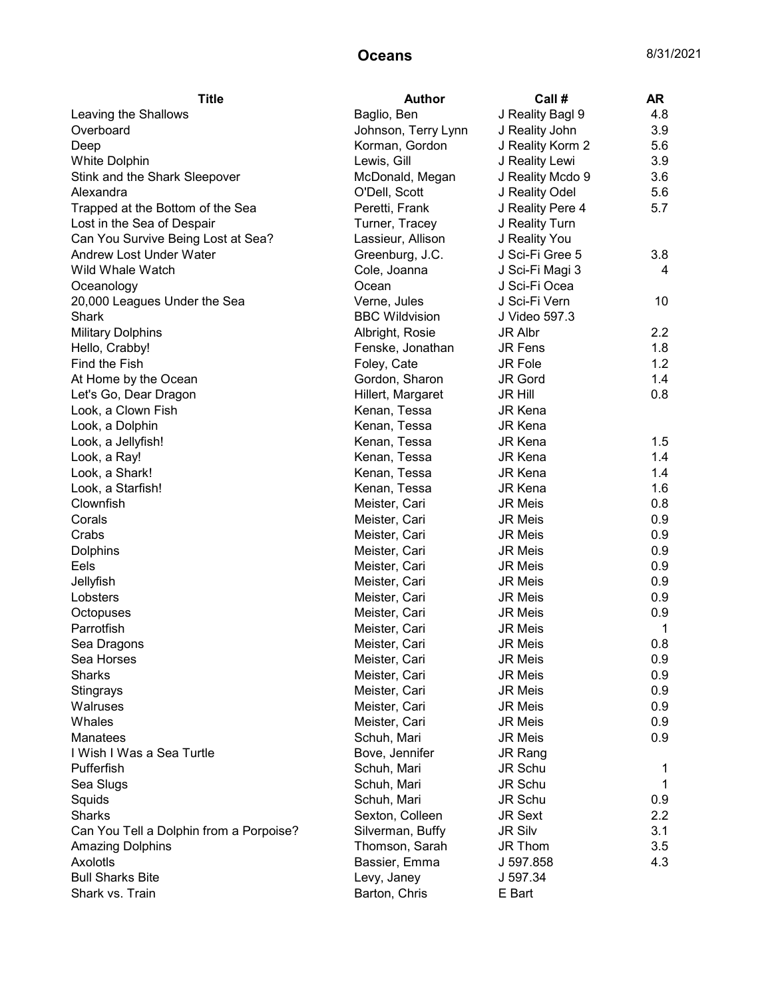| J Reality Bagl 9<br>4.8<br>Leaving the Shallows<br>Baglio, Ben<br>3.9<br>Overboard<br>Johnson, Terry Lynn<br>J Reality John<br>Korman, Gordon<br>J Reality Korm 2<br>5.6<br>Deep<br>J Reality Lewi<br>3.9<br>White Dolphin<br>Lewis, Gill<br>J Reality Mcdo 9<br>3.6<br>Stink and the Shark Sleepover<br>McDonald, Megan<br>O'Dell, Scott<br>J Reality Odel<br>5.6<br>Alexandra<br>Peretti, Frank<br>J Reality Pere 4<br>5.7<br>Trapped at the Bottom of the Sea<br>J Reality Turn<br>Lost in the Sea of Despair<br>Turner, Tracey<br>Can You Survive Being Lost at Sea?<br>Lassieur, Allison<br>J Reality You<br>Greenburg, J.C.<br>J Sci-Fi Gree 5<br>Andrew Lost Under Water<br>3.8<br>Wild Whale Watch<br>J Sci-Fi Magi 3<br>Cole, Joanna<br>4<br>Ocean<br>J Sci-Fi Ocea<br>Oceanology<br>Verne, Jules<br>J Sci-Fi Vern<br>20,000 Leagues Under the Sea<br>10<br><b>BBC Wildvision</b><br>J Video 597.3<br>Shark<br><b>Military Dolphins</b><br>2.2<br>Albright, Rosie<br>JR Albr<br>Fenske, Jonathan<br>JR Fens<br>1.8<br>Hello, Crabby!<br>Foley, Cate<br>1.2<br>Find the Fish<br><b>JR Fole</b><br>At Home by the Ocean<br>Gordon, Sharon<br><b>JR Gord</b><br>1.4<br>Hillert, Margaret<br>0.8<br>Let's Go, Dear Dragon<br><b>JR Hill</b><br>Look, a Clown Fish<br>Kenan, Tessa<br><b>JR Kena</b><br>Look, a Dolphin<br>Kenan, Tessa<br><b>JR Kena</b><br>JR Kena<br>1.5<br>Look, a Jellyfish!<br>Kenan, Tessa<br>1.4<br>Look, a Ray!<br>Kenan, Tessa<br><b>JR Kena</b><br>Look, a Shark!<br>Kenan, Tessa<br><b>JR Kena</b><br>1.4<br>JR Kena<br>1.6<br>Look, a Starfish!<br>Kenan, Tessa<br>Clownfish<br>0.8<br>Meister, Cari<br><b>JR Meis</b><br>Corals<br>0.9<br>Meister, Cari<br><b>JR Meis</b><br>Crabs<br>0.9<br>Meister, Cari<br><b>JR Meis</b><br>0.9<br><b>Dolphins</b><br>Meister, Cari<br><b>JR Meis</b><br>0.9<br>Eels<br>Meister, Cari<br><b>JR Meis</b><br>Jellyfish<br>0.9<br>Meister, Cari<br><b>JR Meis</b><br>0.9<br>Lobsters<br>Meister, Cari<br><b>JR Meis</b><br>0.9<br>Meister, Cari<br><b>JR Meis</b><br>Octopuses<br>Parrotfish<br>1<br>Meister, Cari<br><b>JR Meis</b><br><b>JR Meis</b><br>0.8<br>Meister, Cari<br>Sea Dragons<br>0.9<br>Sea Horses<br>Meister, Cari<br><b>JR Meis</b><br><b>Sharks</b><br>Meister, Cari<br><b>JR Meis</b><br>0.9<br>Stingrays<br>JR Meis<br>0.9<br>Meister, Cari<br>0.9<br>Walruses<br>Meister, Cari<br><b>JR Meis</b><br>Whales<br>Meister, Cari<br>0.9<br><b>JR Meis</b><br><b>Manatees</b><br>Schuh, Mari<br>0.9<br><b>JR Meis</b><br>I Wish I Was a Sea Turtle<br>Bove, Jennifer<br>JR Rang<br>Pufferfish<br>Schuh, Mari<br>JR Schu<br>1<br>Sea Slugs<br>Schuh, Mari<br>JR Schu<br>1<br>Squids<br>JR Schu<br>0.9<br>Schuh, Mari<br><b>Sharks</b><br>Sexton, Colleen<br>JR Sext<br>2.2<br>Can You Tell a Dolphin from a Porpoise?<br>Silverman, Buffy<br><b>JR Silv</b><br>3.1<br><b>Amazing Dolphins</b><br>Thomson, Sarah<br>JR Thom<br>3.5<br>Axolotis<br>Bassier, Emma<br>J 597.858<br>4.3<br><b>Bull Sharks Bite</b><br>Levy, Janey<br>J 597.34 | <b>Title</b>    | <b>Author</b> | Call # | AR |
|----------------------------------------------------------------------------------------------------------------------------------------------------------------------------------------------------------------------------------------------------------------------------------------------------------------------------------------------------------------------------------------------------------------------------------------------------------------------------------------------------------------------------------------------------------------------------------------------------------------------------------------------------------------------------------------------------------------------------------------------------------------------------------------------------------------------------------------------------------------------------------------------------------------------------------------------------------------------------------------------------------------------------------------------------------------------------------------------------------------------------------------------------------------------------------------------------------------------------------------------------------------------------------------------------------------------------------------------------------------------------------------------------------------------------------------------------------------------------------------------------------------------------------------------------------------------------------------------------------------------------------------------------------------------------------------------------------------------------------------------------------------------------------------------------------------------------------------------------------------------------------------------------------------------------------------------------------------------------------------------------------------------------------------------------------------------------------------------------------------------------------------------------------------------------------------------------------------------------------------------------------------------------------------------------------------------------------------------------------------------------------------------------------------------------------------------------------------------------------------------------------------------------------------------------------------------------------------------------------------------------------------------------------------------------------------------------------------------------------------------------------------------------------------------------------------------------------------------------------------------------------------------------------------------------------------------------------------------------------------------------------------------------|-----------------|---------------|--------|----|
|                                                                                                                                                                                                                                                                                                                                                                                                                                                                                                                                                                                                                                                                                                                                                                                                                                                                                                                                                                                                                                                                                                                                                                                                                                                                                                                                                                                                                                                                                                                                                                                                                                                                                                                                                                                                                                                                                                                                                                                                                                                                                                                                                                                                                                                                                                                                                                                                                                                                                                                                                                                                                                                                                                                                                                                                                                                                                                                                                                                                                            |                 |               |        |    |
|                                                                                                                                                                                                                                                                                                                                                                                                                                                                                                                                                                                                                                                                                                                                                                                                                                                                                                                                                                                                                                                                                                                                                                                                                                                                                                                                                                                                                                                                                                                                                                                                                                                                                                                                                                                                                                                                                                                                                                                                                                                                                                                                                                                                                                                                                                                                                                                                                                                                                                                                                                                                                                                                                                                                                                                                                                                                                                                                                                                                                            |                 |               |        |    |
|                                                                                                                                                                                                                                                                                                                                                                                                                                                                                                                                                                                                                                                                                                                                                                                                                                                                                                                                                                                                                                                                                                                                                                                                                                                                                                                                                                                                                                                                                                                                                                                                                                                                                                                                                                                                                                                                                                                                                                                                                                                                                                                                                                                                                                                                                                                                                                                                                                                                                                                                                                                                                                                                                                                                                                                                                                                                                                                                                                                                                            |                 |               |        |    |
|                                                                                                                                                                                                                                                                                                                                                                                                                                                                                                                                                                                                                                                                                                                                                                                                                                                                                                                                                                                                                                                                                                                                                                                                                                                                                                                                                                                                                                                                                                                                                                                                                                                                                                                                                                                                                                                                                                                                                                                                                                                                                                                                                                                                                                                                                                                                                                                                                                                                                                                                                                                                                                                                                                                                                                                                                                                                                                                                                                                                                            |                 |               |        |    |
|                                                                                                                                                                                                                                                                                                                                                                                                                                                                                                                                                                                                                                                                                                                                                                                                                                                                                                                                                                                                                                                                                                                                                                                                                                                                                                                                                                                                                                                                                                                                                                                                                                                                                                                                                                                                                                                                                                                                                                                                                                                                                                                                                                                                                                                                                                                                                                                                                                                                                                                                                                                                                                                                                                                                                                                                                                                                                                                                                                                                                            |                 |               |        |    |
|                                                                                                                                                                                                                                                                                                                                                                                                                                                                                                                                                                                                                                                                                                                                                                                                                                                                                                                                                                                                                                                                                                                                                                                                                                                                                                                                                                                                                                                                                                                                                                                                                                                                                                                                                                                                                                                                                                                                                                                                                                                                                                                                                                                                                                                                                                                                                                                                                                                                                                                                                                                                                                                                                                                                                                                                                                                                                                                                                                                                                            |                 |               |        |    |
|                                                                                                                                                                                                                                                                                                                                                                                                                                                                                                                                                                                                                                                                                                                                                                                                                                                                                                                                                                                                                                                                                                                                                                                                                                                                                                                                                                                                                                                                                                                                                                                                                                                                                                                                                                                                                                                                                                                                                                                                                                                                                                                                                                                                                                                                                                                                                                                                                                                                                                                                                                                                                                                                                                                                                                                                                                                                                                                                                                                                                            |                 |               |        |    |
|                                                                                                                                                                                                                                                                                                                                                                                                                                                                                                                                                                                                                                                                                                                                                                                                                                                                                                                                                                                                                                                                                                                                                                                                                                                                                                                                                                                                                                                                                                                                                                                                                                                                                                                                                                                                                                                                                                                                                                                                                                                                                                                                                                                                                                                                                                                                                                                                                                                                                                                                                                                                                                                                                                                                                                                                                                                                                                                                                                                                                            |                 |               |        |    |
|                                                                                                                                                                                                                                                                                                                                                                                                                                                                                                                                                                                                                                                                                                                                                                                                                                                                                                                                                                                                                                                                                                                                                                                                                                                                                                                                                                                                                                                                                                                                                                                                                                                                                                                                                                                                                                                                                                                                                                                                                                                                                                                                                                                                                                                                                                                                                                                                                                                                                                                                                                                                                                                                                                                                                                                                                                                                                                                                                                                                                            |                 |               |        |    |
|                                                                                                                                                                                                                                                                                                                                                                                                                                                                                                                                                                                                                                                                                                                                                                                                                                                                                                                                                                                                                                                                                                                                                                                                                                                                                                                                                                                                                                                                                                                                                                                                                                                                                                                                                                                                                                                                                                                                                                                                                                                                                                                                                                                                                                                                                                                                                                                                                                                                                                                                                                                                                                                                                                                                                                                                                                                                                                                                                                                                                            |                 |               |        |    |
|                                                                                                                                                                                                                                                                                                                                                                                                                                                                                                                                                                                                                                                                                                                                                                                                                                                                                                                                                                                                                                                                                                                                                                                                                                                                                                                                                                                                                                                                                                                                                                                                                                                                                                                                                                                                                                                                                                                                                                                                                                                                                                                                                                                                                                                                                                                                                                                                                                                                                                                                                                                                                                                                                                                                                                                                                                                                                                                                                                                                                            |                 |               |        |    |
|                                                                                                                                                                                                                                                                                                                                                                                                                                                                                                                                                                                                                                                                                                                                                                                                                                                                                                                                                                                                                                                                                                                                                                                                                                                                                                                                                                                                                                                                                                                                                                                                                                                                                                                                                                                                                                                                                                                                                                                                                                                                                                                                                                                                                                                                                                                                                                                                                                                                                                                                                                                                                                                                                                                                                                                                                                                                                                                                                                                                                            |                 |               |        |    |
|                                                                                                                                                                                                                                                                                                                                                                                                                                                                                                                                                                                                                                                                                                                                                                                                                                                                                                                                                                                                                                                                                                                                                                                                                                                                                                                                                                                                                                                                                                                                                                                                                                                                                                                                                                                                                                                                                                                                                                                                                                                                                                                                                                                                                                                                                                                                                                                                                                                                                                                                                                                                                                                                                                                                                                                                                                                                                                                                                                                                                            |                 |               |        |    |
|                                                                                                                                                                                                                                                                                                                                                                                                                                                                                                                                                                                                                                                                                                                                                                                                                                                                                                                                                                                                                                                                                                                                                                                                                                                                                                                                                                                                                                                                                                                                                                                                                                                                                                                                                                                                                                                                                                                                                                                                                                                                                                                                                                                                                                                                                                                                                                                                                                                                                                                                                                                                                                                                                                                                                                                                                                                                                                                                                                                                                            |                 |               |        |    |
|                                                                                                                                                                                                                                                                                                                                                                                                                                                                                                                                                                                                                                                                                                                                                                                                                                                                                                                                                                                                                                                                                                                                                                                                                                                                                                                                                                                                                                                                                                                                                                                                                                                                                                                                                                                                                                                                                                                                                                                                                                                                                                                                                                                                                                                                                                                                                                                                                                                                                                                                                                                                                                                                                                                                                                                                                                                                                                                                                                                                                            |                 |               |        |    |
|                                                                                                                                                                                                                                                                                                                                                                                                                                                                                                                                                                                                                                                                                                                                                                                                                                                                                                                                                                                                                                                                                                                                                                                                                                                                                                                                                                                                                                                                                                                                                                                                                                                                                                                                                                                                                                                                                                                                                                                                                                                                                                                                                                                                                                                                                                                                                                                                                                                                                                                                                                                                                                                                                                                                                                                                                                                                                                                                                                                                                            |                 |               |        |    |
|                                                                                                                                                                                                                                                                                                                                                                                                                                                                                                                                                                                                                                                                                                                                                                                                                                                                                                                                                                                                                                                                                                                                                                                                                                                                                                                                                                                                                                                                                                                                                                                                                                                                                                                                                                                                                                                                                                                                                                                                                                                                                                                                                                                                                                                                                                                                                                                                                                                                                                                                                                                                                                                                                                                                                                                                                                                                                                                                                                                                                            |                 |               |        |    |
|                                                                                                                                                                                                                                                                                                                                                                                                                                                                                                                                                                                                                                                                                                                                                                                                                                                                                                                                                                                                                                                                                                                                                                                                                                                                                                                                                                                                                                                                                                                                                                                                                                                                                                                                                                                                                                                                                                                                                                                                                                                                                                                                                                                                                                                                                                                                                                                                                                                                                                                                                                                                                                                                                                                                                                                                                                                                                                                                                                                                                            |                 |               |        |    |
|                                                                                                                                                                                                                                                                                                                                                                                                                                                                                                                                                                                                                                                                                                                                                                                                                                                                                                                                                                                                                                                                                                                                                                                                                                                                                                                                                                                                                                                                                                                                                                                                                                                                                                                                                                                                                                                                                                                                                                                                                                                                                                                                                                                                                                                                                                                                                                                                                                                                                                                                                                                                                                                                                                                                                                                                                                                                                                                                                                                                                            |                 |               |        |    |
|                                                                                                                                                                                                                                                                                                                                                                                                                                                                                                                                                                                                                                                                                                                                                                                                                                                                                                                                                                                                                                                                                                                                                                                                                                                                                                                                                                                                                                                                                                                                                                                                                                                                                                                                                                                                                                                                                                                                                                                                                                                                                                                                                                                                                                                                                                                                                                                                                                                                                                                                                                                                                                                                                                                                                                                                                                                                                                                                                                                                                            |                 |               |        |    |
|                                                                                                                                                                                                                                                                                                                                                                                                                                                                                                                                                                                                                                                                                                                                                                                                                                                                                                                                                                                                                                                                                                                                                                                                                                                                                                                                                                                                                                                                                                                                                                                                                                                                                                                                                                                                                                                                                                                                                                                                                                                                                                                                                                                                                                                                                                                                                                                                                                                                                                                                                                                                                                                                                                                                                                                                                                                                                                                                                                                                                            |                 |               |        |    |
|                                                                                                                                                                                                                                                                                                                                                                                                                                                                                                                                                                                                                                                                                                                                                                                                                                                                                                                                                                                                                                                                                                                                                                                                                                                                                                                                                                                                                                                                                                                                                                                                                                                                                                                                                                                                                                                                                                                                                                                                                                                                                                                                                                                                                                                                                                                                                                                                                                                                                                                                                                                                                                                                                                                                                                                                                                                                                                                                                                                                                            |                 |               |        |    |
|                                                                                                                                                                                                                                                                                                                                                                                                                                                                                                                                                                                                                                                                                                                                                                                                                                                                                                                                                                                                                                                                                                                                                                                                                                                                                                                                                                                                                                                                                                                                                                                                                                                                                                                                                                                                                                                                                                                                                                                                                                                                                                                                                                                                                                                                                                                                                                                                                                                                                                                                                                                                                                                                                                                                                                                                                                                                                                                                                                                                                            |                 |               |        |    |
|                                                                                                                                                                                                                                                                                                                                                                                                                                                                                                                                                                                                                                                                                                                                                                                                                                                                                                                                                                                                                                                                                                                                                                                                                                                                                                                                                                                                                                                                                                                                                                                                                                                                                                                                                                                                                                                                                                                                                                                                                                                                                                                                                                                                                                                                                                                                                                                                                                                                                                                                                                                                                                                                                                                                                                                                                                                                                                                                                                                                                            |                 |               |        |    |
|                                                                                                                                                                                                                                                                                                                                                                                                                                                                                                                                                                                                                                                                                                                                                                                                                                                                                                                                                                                                                                                                                                                                                                                                                                                                                                                                                                                                                                                                                                                                                                                                                                                                                                                                                                                                                                                                                                                                                                                                                                                                                                                                                                                                                                                                                                                                                                                                                                                                                                                                                                                                                                                                                                                                                                                                                                                                                                                                                                                                                            |                 |               |        |    |
|                                                                                                                                                                                                                                                                                                                                                                                                                                                                                                                                                                                                                                                                                                                                                                                                                                                                                                                                                                                                                                                                                                                                                                                                                                                                                                                                                                                                                                                                                                                                                                                                                                                                                                                                                                                                                                                                                                                                                                                                                                                                                                                                                                                                                                                                                                                                                                                                                                                                                                                                                                                                                                                                                                                                                                                                                                                                                                                                                                                                                            |                 |               |        |    |
|                                                                                                                                                                                                                                                                                                                                                                                                                                                                                                                                                                                                                                                                                                                                                                                                                                                                                                                                                                                                                                                                                                                                                                                                                                                                                                                                                                                                                                                                                                                                                                                                                                                                                                                                                                                                                                                                                                                                                                                                                                                                                                                                                                                                                                                                                                                                                                                                                                                                                                                                                                                                                                                                                                                                                                                                                                                                                                                                                                                                                            |                 |               |        |    |
|                                                                                                                                                                                                                                                                                                                                                                                                                                                                                                                                                                                                                                                                                                                                                                                                                                                                                                                                                                                                                                                                                                                                                                                                                                                                                                                                                                                                                                                                                                                                                                                                                                                                                                                                                                                                                                                                                                                                                                                                                                                                                                                                                                                                                                                                                                                                                                                                                                                                                                                                                                                                                                                                                                                                                                                                                                                                                                                                                                                                                            |                 |               |        |    |
|                                                                                                                                                                                                                                                                                                                                                                                                                                                                                                                                                                                                                                                                                                                                                                                                                                                                                                                                                                                                                                                                                                                                                                                                                                                                                                                                                                                                                                                                                                                                                                                                                                                                                                                                                                                                                                                                                                                                                                                                                                                                                                                                                                                                                                                                                                                                                                                                                                                                                                                                                                                                                                                                                                                                                                                                                                                                                                                                                                                                                            |                 |               |        |    |
|                                                                                                                                                                                                                                                                                                                                                                                                                                                                                                                                                                                                                                                                                                                                                                                                                                                                                                                                                                                                                                                                                                                                                                                                                                                                                                                                                                                                                                                                                                                                                                                                                                                                                                                                                                                                                                                                                                                                                                                                                                                                                                                                                                                                                                                                                                                                                                                                                                                                                                                                                                                                                                                                                                                                                                                                                                                                                                                                                                                                                            |                 |               |        |    |
|                                                                                                                                                                                                                                                                                                                                                                                                                                                                                                                                                                                                                                                                                                                                                                                                                                                                                                                                                                                                                                                                                                                                                                                                                                                                                                                                                                                                                                                                                                                                                                                                                                                                                                                                                                                                                                                                                                                                                                                                                                                                                                                                                                                                                                                                                                                                                                                                                                                                                                                                                                                                                                                                                                                                                                                                                                                                                                                                                                                                                            |                 |               |        |    |
|                                                                                                                                                                                                                                                                                                                                                                                                                                                                                                                                                                                                                                                                                                                                                                                                                                                                                                                                                                                                                                                                                                                                                                                                                                                                                                                                                                                                                                                                                                                                                                                                                                                                                                                                                                                                                                                                                                                                                                                                                                                                                                                                                                                                                                                                                                                                                                                                                                                                                                                                                                                                                                                                                                                                                                                                                                                                                                                                                                                                                            |                 |               |        |    |
|                                                                                                                                                                                                                                                                                                                                                                                                                                                                                                                                                                                                                                                                                                                                                                                                                                                                                                                                                                                                                                                                                                                                                                                                                                                                                                                                                                                                                                                                                                                                                                                                                                                                                                                                                                                                                                                                                                                                                                                                                                                                                                                                                                                                                                                                                                                                                                                                                                                                                                                                                                                                                                                                                                                                                                                                                                                                                                                                                                                                                            |                 |               |        |    |
|                                                                                                                                                                                                                                                                                                                                                                                                                                                                                                                                                                                                                                                                                                                                                                                                                                                                                                                                                                                                                                                                                                                                                                                                                                                                                                                                                                                                                                                                                                                                                                                                                                                                                                                                                                                                                                                                                                                                                                                                                                                                                                                                                                                                                                                                                                                                                                                                                                                                                                                                                                                                                                                                                                                                                                                                                                                                                                                                                                                                                            |                 |               |        |    |
|                                                                                                                                                                                                                                                                                                                                                                                                                                                                                                                                                                                                                                                                                                                                                                                                                                                                                                                                                                                                                                                                                                                                                                                                                                                                                                                                                                                                                                                                                                                                                                                                                                                                                                                                                                                                                                                                                                                                                                                                                                                                                                                                                                                                                                                                                                                                                                                                                                                                                                                                                                                                                                                                                                                                                                                                                                                                                                                                                                                                                            |                 |               |        |    |
|                                                                                                                                                                                                                                                                                                                                                                                                                                                                                                                                                                                                                                                                                                                                                                                                                                                                                                                                                                                                                                                                                                                                                                                                                                                                                                                                                                                                                                                                                                                                                                                                                                                                                                                                                                                                                                                                                                                                                                                                                                                                                                                                                                                                                                                                                                                                                                                                                                                                                                                                                                                                                                                                                                                                                                                                                                                                                                                                                                                                                            |                 |               |        |    |
|                                                                                                                                                                                                                                                                                                                                                                                                                                                                                                                                                                                                                                                                                                                                                                                                                                                                                                                                                                                                                                                                                                                                                                                                                                                                                                                                                                                                                                                                                                                                                                                                                                                                                                                                                                                                                                                                                                                                                                                                                                                                                                                                                                                                                                                                                                                                                                                                                                                                                                                                                                                                                                                                                                                                                                                                                                                                                                                                                                                                                            |                 |               |        |    |
|                                                                                                                                                                                                                                                                                                                                                                                                                                                                                                                                                                                                                                                                                                                                                                                                                                                                                                                                                                                                                                                                                                                                                                                                                                                                                                                                                                                                                                                                                                                                                                                                                                                                                                                                                                                                                                                                                                                                                                                                                                                                                                                                                                                                                                                                                                                                                                                                                                                                                                                                                                                                                                                                                                                                                                                                                                                                                                                                                                                                                            |                 |               |        |    |
|                                                                                                                                                                                                                                                                                                                                                                                                                                                                                                                                                                                                                                                                                                                                                                                                                                                                                                                                                                                                                                                                                                                                                                                                                                                                                                                                                                                                                                                                                                                                                                                                                                                                                                                                                                                                                                                                                                                                                                                                                                                                                                                                                                                                                                                                                                                                                                                                                                                                                                                                                                                                                                                                                                                                                                                                                                                                                                                                                                                                                            |                 |               |        |    |
|                                                                                                                                                                                                                                                                                                                                                                                                                                                                                                                                                                                                                                                                                                                                                                                                                                                                                                                                                                                                                                                                                                                                                                                                                                                                                                                                                                                                                                                                                                                                                                                                                                                                                                                                                                                                                                                                                                                                                                                                                                                                                                                                                                                                                                                                                                                                                                                                                                                                                                                                                                                                                                                                                                                                                                                                                                                                                                                                                                                                                            |                 |               |        |    |
|                                                                                                                                                                                                                                                                                                                                                                                                                                                                                                                                                                                                                                                                                                                                                                                                                                                                                                                                                                                                                                                                                                                                                                                                                                                                                                                                                                                                                                                                                                                                                                                                                                                                                                                                                                                                                                                                                                                                                                                                                                                                                                                                                                                                                                                                                                                                                                                                                                                                                                                                                                                                                                                                                                                                                                                                                                                                                                                                                                                                                            |                 |               |        |    |
|                                                                                                                                                                                                                                                                                                                                                                                                                                                                                                                                                                                                                                                                                                                                                                                                                                                                                                                                                                                                                                                                                                                                                                                                                                                                                                                                                                                                                                                                                                                                                                                                                                                                                                                                                                                                                                                                                                                                                                                                                                                                                                                                                                                                                                                                                                                                                                                                                                                                                                                                                                                                                                                                                                                                                                                                                                                                                                                                                                                                                            |                 |               |        |    |
|                                                                                                                                                                                                                                                                                                                                                                                                                                                                                                                                                                                                                                                                                                                                                                                                                                                                                                                                                                                                                                                                                                                                                                                                                                                                                                                                                                                                                                                                                                                                                                                                                                                                                                                                                                                                                                                                                                                                                                                                                                                                                                                                                                                                                                                                                                                                                                                                                                                                                                                                                                                                                                                                                                                                                                                                                                                                                                                                                                                                                            |                 |               |        |    |
|                                                                                                                                                                                                                                                                                                                                                                                                                                                                                                                                                                                                                                                                                                                                                                                                                                                                                                                                                                                                                                                                                                                                                                                                                                                                                                                                                                                                                                                                                                                                                                                                                                                                                                                                                                                                                                                                                                                                                                                                                                                                                                                                                                                                                                                                                                                                                                                                                                                                                                                                                                                                                                                                                                                                                                                                                                                                                                                                                                                                                            |                 |               |        |    |
|                                                                                                                                                                                                                                                                                                                                                                                                                                                                                                                                                                                                                                                                                                                                                                                                                                                                                                                                                                                                                                                                                                                                                                                                                                                                                                                                                                                                                                                                                                                                                                                                                                                                                                                                                                                                                                                                                                                                                                                                                                                                                                                                                                                                                                                                                                                                                                                                                                                                                                                                                                                                                                                                                                                                                                                                                                                                                                                                                                                                                            |                 |               |        |    |
|                                                                                                                                                                                                                                                                                                                                                                                                                                                                                                                                                                                                                                                                                                                                                                                                                                                                                                                                                                                                                                                                                                                                                                                                                                                                                                                                                                                                                                                                                                                                                                                                                                                                                                                                                                                                                                                                                                                                                                                                                                                                                                                                                                                                                                                                                                                                                                                                                                                                                                                                                                                                                                                                                                                                                                                                                                                                                                                                                                                                                            |                 |               |        |    |
|                                                                                                                                                                                                                                                                                                                                                                                                                                                                                                                                                                                                                                                                                                                                                                                                                                                                                                                                                                                                                                                                                                                                                                                                                                                                                                                                                                                                                                                                                                                                                                                                                                                                                                                                                                                                                                                                                                                                                                                                                                                                                                                                                                                                                                                                                                                                                                                                                                                                                                                                                                                                                                                                                                                                                                                                                                                                                                                                                                                                                            |                 |               |        |    |
|                                                                                                                                                                                                                                                                                                                                                                                                                                                                                                                                                                                                                                                                                                                                                                                                                                                                                                                                                                                                                                                                                                                                                                                                                                                                                                                                                                                                                                                                                                                                                                                                                                                                                                                                                                                                                                                                                                                                                                                                                                                                                                                                                                                                                                                                                                                                                                                                                                                                                                                                                                                                                                                                                                                                                                                                                                                                                                                                                                                                                            |                 |               |        |    |
|                                                                                                                                                                                                                                                                                                                                                                                                                                                                                                                                                                                                                                                                                                                                                                                                                                                                                                                                                                                                                                                                                                                                                                                                                                                                                                                                                                                                                                                                                                                                                                                                                                                                                                                                                                                                                                                                                                                                                                                                                                                                                                                                                                                                                                                                                                                                                                                                                                                                                                                                                                                                                                                                                                                                                                                                                                                                                                                                                                                                                            |                 |               |        |    |
|                                                                                                                                                                                                                                                                                                                                                                                                                                                                                                                                                                                                                                                                                                                                                                                                                                                                                                                                                                                                                                                                                                                                                                                                                                                                                                                                                                                                                                                                                                                                                                                                                                                                                                                                                                                                                                                                                                                                                                                                                                                                                                                                                                                                                                                                                                                                                                                                                                                                                                                                                                                                                                                                                                                                                                                                                                                                                                                                                                                                                            |                 |               |        |    |
|                                                                                                                                                                                                                                                                                                                                                                                                                                                                                                                                                                                                                                                                                                                                                                                                                                                                                                                                                                                                                                                                                                                                                                                                                                                                                                                                                                                                                                                                                                                                                                                                                                                                                                                                                                                                                                                                                                                                                                                                                                                                                                                                                                                                                                                                                                                                                                                                                                                                                                                                                                                                                                                                                                                                                                                                                                                                                                                                                                                                                            | Shark vs. Train | Barton, Chris | E Bart |    |